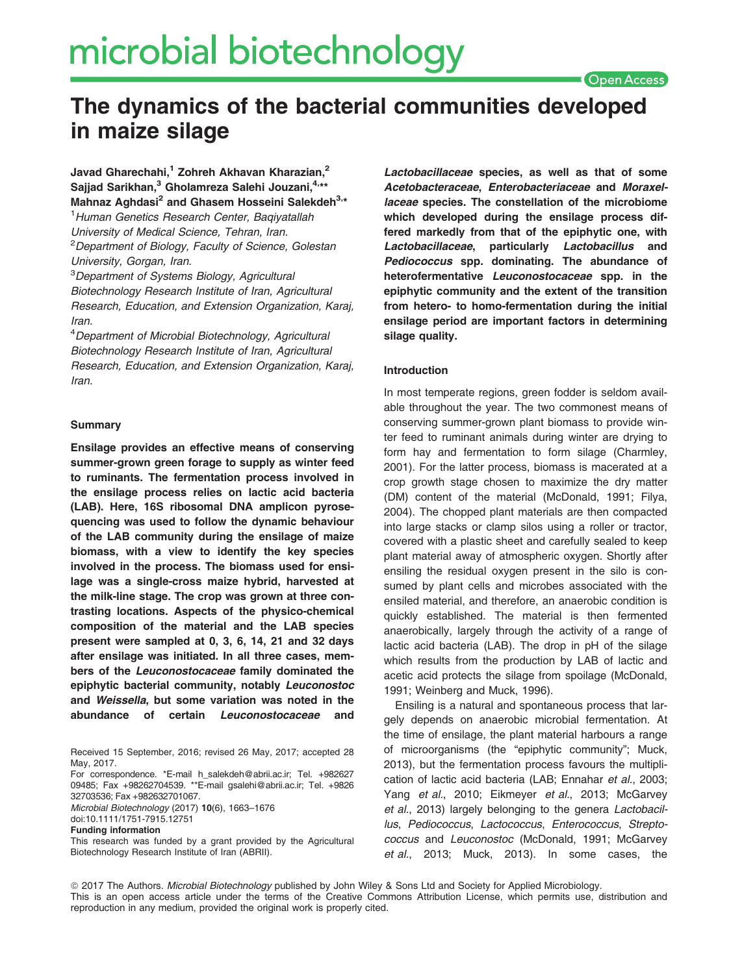# The dynamics of the bacterial communities developed in maize silage

Javad Gharechahi,<sup>1</sup> Zohreh Akhavan Kharazian.<sup>2</sup> Sajjad Sarikhan,<sup>3</sup> Gholamreza Salehi Jouzani, 4,\*\* Mahnaz Aghdasi<sup>2</sup> and Ghasem Hosseini Salekdeh<sup>3,\*</sup>

1 Human Genetics Research Center, Baqiyatallah University of Medical Science, Tehran, Iran. <sup>2</sup>Department of Biology, Faculty of Science, Golestan University, Gorgan, Iran.

<sup>3</sup>Department of Systems Biology, Agricultural Biotechnology Research Institute of Iran, Agricultural Research, Education, and Extension Organization, Karaj, Iran.

4 Department of Microbial Biotechnology, Agricultural Biotechnology Research Institute of Iran, Agricultural Research, Education, and Extension Organization, Karaj, Iran.

#### Summary

Ensilage provides an effective means of conserving summer-grown green forage to supply as winter feed to ruminants. The fermentation process involved in the ensilage process relies on lactic acid bacteria (LAB). Here, 16S ribosomal DNA amplicon pyrosequencing was used to follow the dynamic behaviour of the LAB community during the ensilage of maize biomass, with a view to identify the key species involved in the process. The biomass used for ensilage was a single-cross maize hybrid, harvested at the milk-line stage. The crop was grown at three contrasting locations. Aspects of the physico-chemical composition of the material and the LAB species present were sampled at 0, 3, 6, 14, 21 and 32 days after ensilage was initiated. In all three cases, members of the Leuconostocaceae family dominated the epiphytic bacterial community, notably Leuconostoc and Weissella, but some variation was noted in the abundance of certain Leuconostocaceae and

Received 15 September, 2016; revised 26 May, 2017; accepted 28 May, 2017.

For correspondence. \*E-mail h\_salekdeh@abrii.ac.ir; Tel. +982627 09485; Fax +98262704539. \*\*E-mail gsalehi@abrii.ac.ir; Tel. +9826 32703536; Fax +982632701067.

Microbial Biotechnology (2017) 10(6), 1663–1676

doi:10.1111/1751-7915.12751

Funding information

This research was funded by a grant provided by the Agricultural Biotechnology Research Institute of Iran (ABRII).

Lactobacillaceae species, as well as that of some Acetobacteraceae, Enterobacteriaceae and Moraxellaceae species. The constellation of the microbiome which developed during the ensilage process differed markedly from that of the epiphytic one, with Lactobacillaceae, particularly Lactobacillus and Pediococcus spp. dominating. The abundance of heterofermentative Leuconostocaceae spp. in the epiphytic community and the extent of the transition from hetero- to homo-fermentation during the initial ensilage period are important factors in determining silage quality.

## Introduction

In most temperate regions, green fodder is seldom available throughout the year. The two commonest means of conserving summer-grown plant biomass to provide winter feed to ruminant animals during winter are drying to form hay and fermentation to form silage (Charmley, 2001). For the latter process, biomass is macerated at a crop growth stage chosen to maximize the dry matter (DM) content of the material (McDonald, 1991; Filya, 2004). The chopped plant materials are then compacted into large stacks or clamp silos using a roller or tractor, covered with a plastic sheet and carefully sealed to keep plant material away of atmospheric oxygen. Shortly after ensiling the residual oxygen present in the silo is consumed by plant cells and microbes associated with the ensiled material, and therefore, an anaerobic condition is quickly established. The material is then fermented anaerobically, largely through the activity of a range of lactic acid bacteria (LAB). The drop in pH of the silage which results from the production by LAB of lactic and acetic acid protects the silage from spoilage (McDonald, 1991; Weinberg and Muck, 1996).

Ensiling is a natural and spontaneous process that largely depends on anaerobic microbial fermentation. At the time of ensilage, the plant material harbours a range of microorganisms (the "epiphytic community"; Muck, 2013), but the fermentation process favours the multiplication of lactic acid bacteria (LAB; Ennahar et al., 2003; Yang et al., 2010; Eikmeyer et al., 2013; McGarvey et al., 2013) largely belonging to the genera Lactobacillus, Pediococcus, Lactococcus, Enterococcus, Streptococcus and Leuconostoc (McDonald, 1991; McGarvey et al., 2013; Muck, 2013). In some cases, the

ª 2017 The Authors. Microbial Biotechnology published by John Wiley & Sons Ltd and Society for Applied Microbiology. This is an open access article under the terms of the [Creative Commons Attribution](http://creativecommons.org/licenses/by/4.0/) License, which permits use, distribution and reproduction in any medium, provided the original work is properly cited.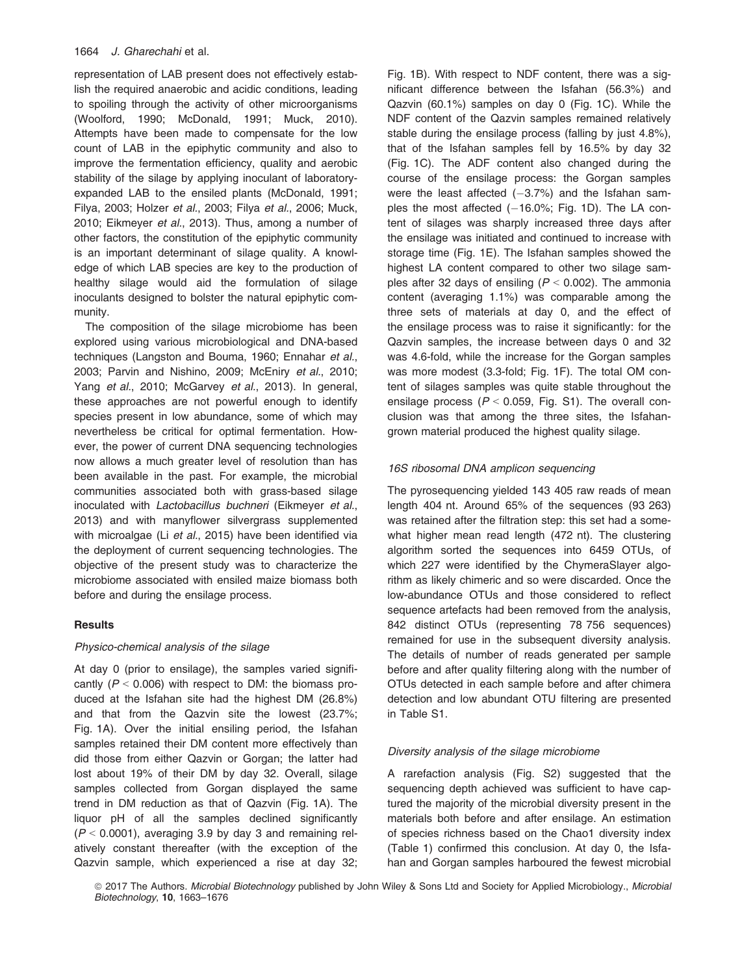representation of LAB present does not effectively establish the required anaerobic and acidic conditions, leading to spoiling through the activity of other microorganisms (Woolford, 1990; McDonald, 1991; Muck, 2010). Attempts have been made to compensate for the low count of LAB in the epiphytic community and also to improve the fermentation efficiency, quality and aerobic stability of the silage by applying inoculant of laboratoryexpanded LAB to the ensiled plants (McDonald, 1991; Filya, 2003; Holzer et al., 2003; Filya et al., 2006; Muck, 2010; Eikmeyer et al., 2013). Thus, among a number of other factors, the constitution of the epiphytic community is an important determinant of silage quality. A knowledge of which LAB species are key to the production of healthy silage would aid the formulation of silage inoculants designed to bolster the natural epiphytic community.

The composition of the silage microbiome has been explored using various microbiological and DNA-based techniques (Langston and Bouma, 1960; Ennahar et al., 2003; Parvin and Nishino, 2009; McEniry et al., 2010; Yang et al., 2010; McGarvey et al., 2013). In general, these approaches are not powerful enough to identify species present in low abundance, some of which may nevertheless be critical for optimal fermentation. However, the power of current DNA sequencing technologies now allows a much greater level of resolution than has been available in the past. For example, the microbial communities associated both with grass-based silage inoculated with Lactobacillus buchneri (Eikmeyer et al., 2013) and with manyflower silvergrass supplemented with microalgae (Li et al., 2015) have been identified via the deployment of current sequencing technologies. The objective of the present study was to characterize the microbiome associated with ensiled maize biomass both before and during the ensilage process.

## **Results**

#### Physico-chemical analysis of the silage

At day 0 (prior to ensilage), the samples varied significantly ( $P < 0.006$ ) with respect to DM: the biomass produced at the Isfahan site had the highest DM (26.8%) and that from the Qazvin site the lowest (23.7%; Fig. 1A). Over the initial ensiling period, the Isfahan samples retained their DM content more effectively than did those from either Qazvin or Gorgan; the latter had lost about 19% of their DM by day 32. Overall, silage samples collected from Gorgan displayed the same trend in DM reduction as that of Qazvin (Fig. 1A). The liquor pH of all the samples declined significantly  $(P < 0.0001)$ , averaging 3.9 by day 3 and remaining relatively constant thereafter (with the exception of the Qazvin sample, which experienced a rise at day 32; Fig. 1B). With respect to NDF content, there was a significant difference between the Isfahan (56.3%) and Qazvin (60.1%) samples on day 0 (Fig. 1C). While the NDF content of the Qazvin samples remained relatively stable during the ensilage process (falling by just 4.8%). that of the Isfahan samples fell by 16.5% by day 32 (Fig. 1C). The ADF content also changed during the course of the ensilage process: the Gorgan samples were the least affected  $(-3.7%)$  and the Isfahan samples the most affected  $(-16.0\%;$  Fig. 1D). The LA content of silages was sharply increased three days after the ensilage was initiated and continued to increase with storage time (Fig. 1E). The Isfahan samples showed the highest LA content compared to other two silage samples after 32 days of ensiling  $(P < 0.002)$ . The ammonia content (averaging 1.1%) was comparable among the three sets of materials at day 0, and the effect of the ensilage process was to raise it significantly: for the Qazvin samples, the increase between days 0 and 32 was 4.6-fold, while the increase for the Gorgan samples was more modest (3.3-fold; Fig. 1F). The total OM content of silages samples was quite stable throughout the ensilage process ( $P < 0.059$ , Fig. S1). The overall conclusion was that among the three sites, the Isfahangrown material produced the highest quality silage.

## 16S ribosomal DNA amplicon sequencing

The pyrosequencing yielded 143 405 raw reads of mean length 404 nt. Around 65% of the sequences (93 263) was retained after the filtration step: this set had a somewhat higher mean read length (472 nt). The clustering algorithm sorted the sequences into 6459 OTUs, of which 227 were identified by the ChymeraSlayer algorithm as likely chimeric and so were discarded. Once the low-abundance OTUs and those considered to reflect sequence artefacts had been removed from the analysis, 842 distinct OTUs (representing 78 756 sequences) remained for use in the subsequent diversity analysis. The details of number of reads generated per sample before and after quality filtering along with the number of OTUs detected in each sample before and after chimera detection and low abundant OTU filtering are presented in Table S1.

#### Diversity analysis of the silage microbiome

A rarefaction analysis (Fig. S2) suggested that the sequencing depth achieved was sufficient to have captured the majority of the microbial diversity present in the materials both before and after ensilage. An estimation of species richness based on the Chao1 diversity index (Table 1) confirmed this conclusion. At day 0, the Isfahan and Gorgan samples harboured the fewest microbial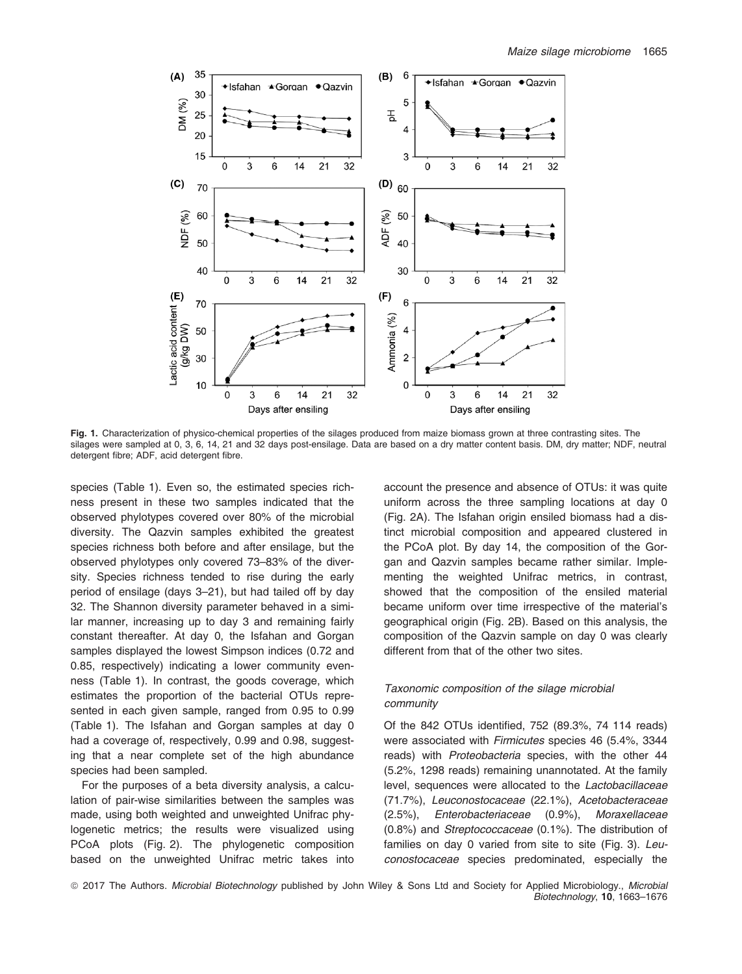

Fig. 1. Characterization of physico-chemical properties of the silages produced from maize biomass grown at three contrasting sites. The silages were sampled at 0, 3, 6, 14, 21 and 32 days post-ensilage. Data are based on a dry matter content basis. DM, dry matter; NDF, neutral detergent fibre; ADF, acid detergent fibre.

species (Table 1). Even so, the estimated species richness present in these two samples indicated that the observed phylotypes covered over 80% of the microbial diversity. The Qazvin samples exhibited the greatest species richness both before and after ensilage, but the observed phylotypes only covered 73–83% of the diversity. Species richness tended to rise during the early period of ensilage (days 3–21), but had tailed off by day 32. The Shannon diversity parameter behaved in a similar manner, increasing up to day 3 and remaining fairly constant thereafter. At day 0, the Isfahan and Gorgan samples displayed the lowest Simpson indices (0.72 and 0.85, respectively) indicating a lower community evenness (Table 1). In contrast, the goods coverage, which estimates the proportion of the bacterial OTUs represented in each given sample, ranged from 0.95 to 0.99 (Table 1). The Isfahan and Gorgan samples at day 0 had a coverage of, respectively, 0.99 and 0.98, suggesting that a near complete set of the high abundance species had been sampled.

For the purposes of a beta diversity analysis, a calculation of pair-wise similarities between the samples was made, using both weighted and unweighted Unifrac phylogenetic metrics; the results were visualized using PCoA plots (Fig. 2). The phylogenetic composition based on the unweighted Unifrac metric takes into account the presence and absence of OTUs: it was quite uniform across the three sampling locations at day 0 (Fig. 2A). The Isfahan origin ensiled biomass had a distinct microbial composition and appeared clustered in the PCoA plot. By day 14, the composition of the Gorgan and Qazvin samples became rather similar. Implementing the weighted Unifrac metrics, in contrast, showed that the composition of the ensiled material became uniform over time irrespective of the material's geographical origin (Fig. 2B). Based on this analysis, the composition of the Qazvin sample on day 0 was clearly different from that of the other two sites.

# Taxonomic composition of the silage microbial community

Of the 842 OTUs identified, 752 (89.3%, 74 114 reads) were associated with Firmicutes species 46 (5.4%, 3344 reads) with Proteobacteria species, with the other 44 (5.2%, 1298 reads) remaining unannotated. At the family level, sequences were allocated to the Lactobacillaceae (71.7%), Leuconostocaceae (22.1%), Acetobacteraceae (2.5%), Enterobacteriaceae (0.9%), Moraxellaceae (0.8%) and Streptococcaceae (0.1%). The distribution of families on day 0 varied from site to site (Fig. 3). Leuconostocaceae species predominated, especially the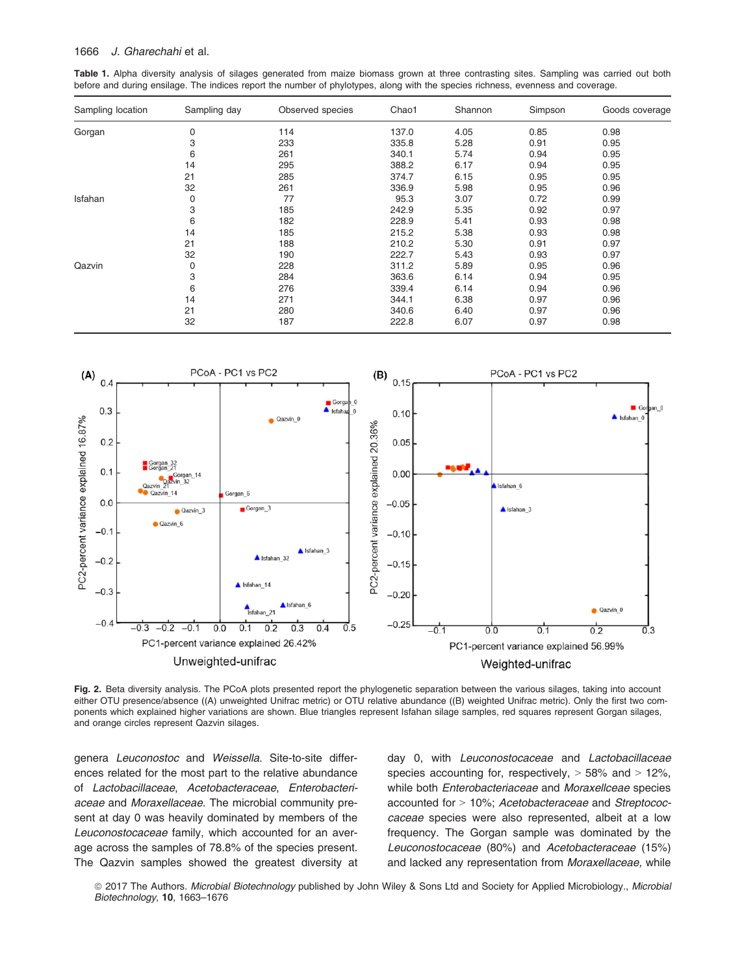#### 1666 J. Gharechahi et al.

Table 1. Alpha diversity analysis of silages generated from maize biomass grown at three contrasting sites. Sampling was carried out both before and during ensilage. The indices report the number of phylotypes, along with the species richness, evenness and coverage.

| Sampling location | Sampling day | Observed species | Chao1 | Shannon | Simpson | Goods coverage |
|-------------------|--------------|------------------|-------|---------|---------|----------------|
| Gorgan            | 0            | 114              | 137.0 | 4.05    | 0.85    | 0.98           |
|                   | 3            | 233              | 335.8 | 5.28    | 0.91    | 0.95           |
|                   | 6            | 261              | 340.1 | 5.74    | 0.94    | 0.95           |
|                   | 14           | 295              | 388.2 | 6.17    | 0.94    | 0.95           |
|                   | 21           | 285              | 374.7 | 6.15    | 0.95    | 0.95           |
|                   | 32           | 261              | 336.9 | 5.98    | 0.95    | 0.96           |
| Isfahan           | 0            | 77               | 95.3  | 3.07    | 0.72    | 0.99           |
|                   | 3            | 185              | 242.9 | 5.35    | 0.92    | 0.97           |
|                   | 6            | 182              | 228.9 | 5.41    | 0.93    | 0.98           |
|                   | 14           | 185              | 215.2 | 5.38    | 0.93    | 0.98           |
|                   | 21           | 188              | 210.2 | 5.30    | 0.91    | 0.97           |
|                   | 32           | 190              | 222.7 | 5.43    | 0.93    | 0.97           |
| Qazvin            | 0            | 228              | 311.2 | 5.89    | 0.95    | 0.96           |
|                   | 3            | 284              | 363.6 | 6.14    | 0.94    | 0.95           |
|                   | 6            | 276              | 339.4 | 6.14    | 0.94    | 0.96           |
|                   | 14           | 271              | 344.1 | 6.38    | 0.97    | 0.96           |
|                   | 21           | 280              | 340.6 | 6.40    | 0.97    | 0.96           |
|                   | 32           | 187              | 222.8 | 6.07    | 0.97    | 0.98           |



Fig. 2. Beta diversity analysis. The PCoA plots presented report the phylogenetic separation between the various silages, taking into account either OTU presence/absence ((A) unweighted Unifrac metric) or OTU relative abundance ((B) weighted Unifrac metric). Only the first two components which explained higher variations are shown. Blue triangles represent Isfahan silage samples, red squares represent Gorgan silages, and orange circles represent Qazvin silages.

genera Leuconostoc and Weissella. Site-to-site differences related for the most part to the relative abundance of Lactobacillaceae, Acetobacteraceae, Enterobacteriaceae and Moraxellaceae. The microbial community present at day 0 was heavily dominated by members of the Leuconostocaceae family, which accounted for an average across the samples of 78.8% of the species present. The Qazvin samples showed the greatest diversity at day 0, with Leuconostocaceae and Lactobacillaceae species accounting for, respectively, > 58% and > 12%, while both *Enterobacteriaceae* and *Moraxellceae* species accounted for > 10%; Acetobacteraceae and Streptococcaceae species were also represented, albeit at a low frequency. The Gorgan sample was dominated by the Leuconostocaceae (80%) and Acetobacteraceae (15%) and lacked any representation from Moraxellaceae, while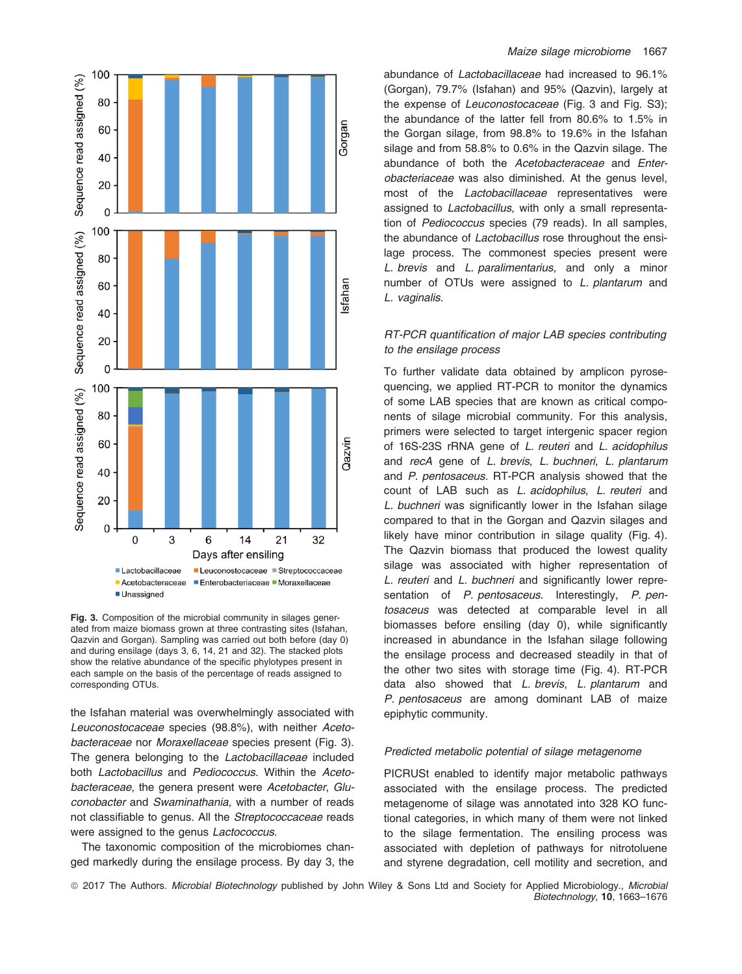

Fig. 3. Composition of the microbial community in silages generated from maize biomass grown at three contrasting sites (Isfahan, Qazvin and Gorgan). Sampling was carried out both before (day 0) and during ensilage (days 3, 6, 14, 21 and 32). The stacked plots show the relative abundance of the specific phylotypes present in each sample on the basis of the percentage of reads assigned to corresponding OTUs.

the Isfahan material was overwhelmingly associated with Leuconostocaceae species (98.8%), with neither Acetobacteraceae nor Moraxellaceae species present (Fig. 3). The genera belonging to the Lactobacillaceae included both Lactobacillus and Pediococcus. Within the Acetobacteraceae, the genera present were Acetobacter, Gluconobacter and Swaminathania, with a number of reads not classifiable to genus. All the Streptococcaceae reads were assigned to the genus Lactococcus.

The taxonomic composition of the microbiomes changed markedly during the ensilage process. By day 3, the abundance of Lactobacillaceae had increased to 96.1% (Gorgan), 79.7% (Isfahan) and 95% (Qazvin), largely at the expense of *Leuconostocaceae* (Fig. 3 and Fig. S3); the abundance of the latter fell from 80.6% to 1.5% in the Gorgan silage, from 98.8% to 19.6% in the Isfahan silage and from 58.8% to 0.6% in the Qazvin silage. The abundance of both the Acetobacteraceae and Enterobacteriaceae was also diminished. At the genus level, most of the Lactobacillaceae representatives were assigned to Lactobacillus, with only a small representation of Pediococcus species (79 reads). In all samples, the abundance of Lactobacillus rose throughout the ensilage process. The commonest species present were L. brevis and L. paralimentarius, and only a minor number of OTUs were assigned to L. plantarum and L. vaginalis.

## RT-PCR quantification of major LAB species contributing to the ensilage process

To further validate data obtained by amplicon pyrosequencing, we applied RT-PCR to monitor the dynamics of some LAB species that are known as critical components of silage microbial community. For this analysis, primers were selected to target intergenic spacer region of 16S-23S rRNA gene of L. reuteri and L. acidophilus and recA gene of L. brevis, L. buchneri, L. plantarum and P. pentosaceus. RT-PCR analysis showed that the count of LAB such as L. acidophilus, L. reuteri and L. buchneri was significantly lower in the Isfahan silage compared to that in the Gorgan and Qazvin silages and likely have minor contribution in silage quality (Fig. 4). The Qazvin biomass that produced the lowest quality silage was associated with higher representation of L. reuteri and L. buchneri and significantly lower representation of P. pentosaceus. Interestingly, P. pentosaceus was detected at comparable level in all biomasses before ensiling (day 0), while significantly increased in abundance in the Isfahan silage following the ensilage process and decreased steadily in that of the other two sites with storage time (Fig. 4). RT-PCR data also showed that L. brevis, L. plantarum and P. pentosaceus are among dominant LAB of maize epiphytic community.

## Predicted metabolic potential of silage metagenome

PICRUSt enabled to identify major metabolic pathways associated with the ensilage process. The predicted metagenome of silage was annotated into 328 KO functional categories, in which many of them were not linked to the silage fermentation. The ensiling process was associated with depletion of pathways for nitrotoluene and styrene degradation, cell motility and secretion, and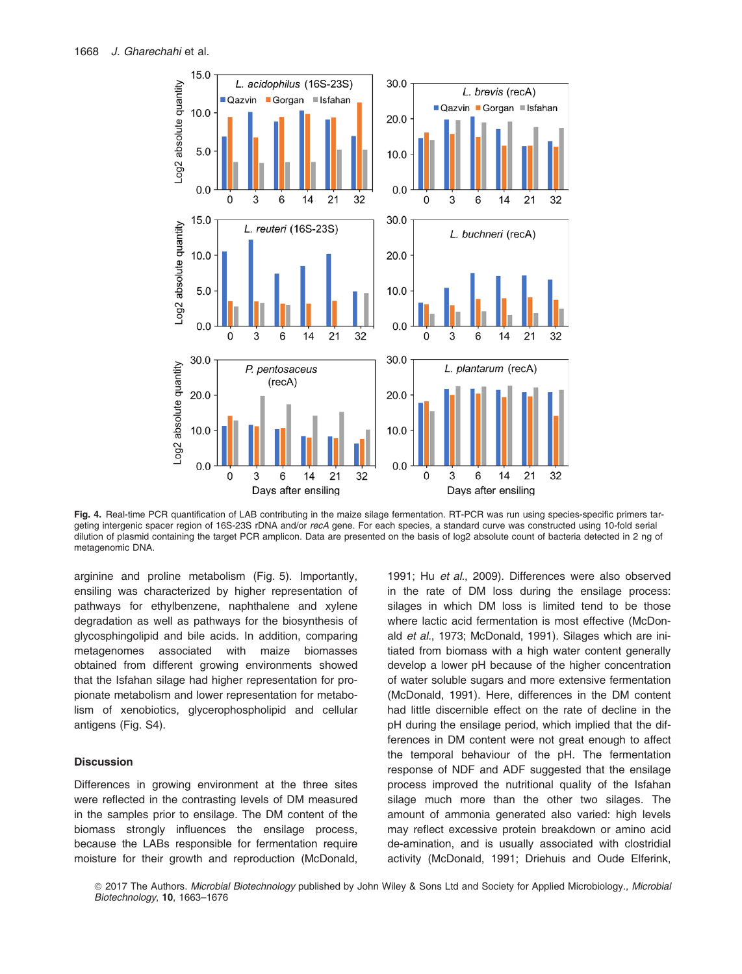

Fig. 4. Real-time PCR quantification of LAB contributing in the maize silage fermentation. RT-PCR was run using species-specific primers targeting intergenic spacer region of 16S-23S rDNA and/or recA gene. For each species, a standard curve was constructed using 10-fold serial dilution of plasmid containing the target PCR amplicon. Data are presented on the basis of log2 absolute count of bacteria detected in 2 ng of metagenomic DNA.

arginine and proline metabolism (Fig. 5). Importantly, ensiling was characterized by higher representation of pathways for ethylbenzene, naphthalene and xylene degradation as well as pathways for the biosynthesis of glycosphingolipid and bile acids. In addition, comparing metagenomes associated with maize biomasses obtained from different growing environments showed that the Isfahan silage had higher representation for propionate metabolism and lower representation for metabolism of xenobiotics, glycerophospholipid and cellular antigens (Fig. S4).

## **Discussion**

Differences in growing environment at the three sites were reflected in the contrasting levels of DM measured in the samples prior to ensilage. The DM content of the biomass strongly influences the ensilage process, because the LABs responsible for fermentation require moisture for their growth and reproduction (McDonald,

1991; Hu et al., 2009). Differences were also observed in the rate of DM loss during the ensilage process: silages in which DM loss is limited tend to be those where lactic acid fermentation is most effective (McDonald et al., 1973; McDonald, 1991). Silages which are initiated from biomass with a high water content generally develop a lower pH because of the higher concentration of water soluble sugars and more extensive fermentation (McDonald, 1991). Here, differences in the DM content had little discernible effect on the rate of decline in the pH during the ensilage period, which implied that the differences in DM content were not great enough to affect the temporal behaviour of the pH. The fermentation response of NDF and ADF suggested that the ensilage process improved the nutritional quality of the Isfahan silage much more than the other two silages. The amount of ammonia generated also varied: high levels may reflect excessive protein breakdown or amino acid de-amination, and is usually associated with clostridial activity (McDonald, 1991; Driehuis and Oude Elferink,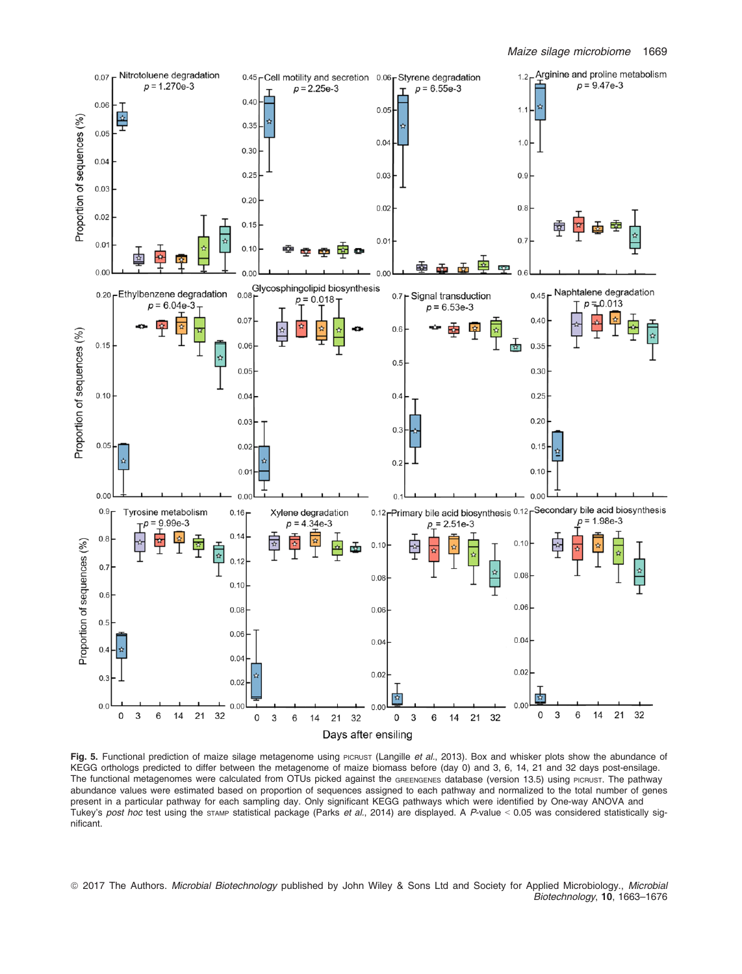

Fig. 5. Functional prediction of maize silage metagenome using PICRUST (Langille et al., 2013). Box and whisker plots show the abundance of KEGG orthologs predicted to differ between the metagenome of maize biomass before (day 0) and 3, 6, 14, 21 and 32 days post-ensilage. The functional metagenomes were calculated from OTUs picked against the GREENGENES database (version 13.5) using PICRUST. The pathway abundance values were estimated based on proportion of sequences assigned to each pathway and normalized to the total number of genes present in a particular pathway for each sampling day. Only significant KEGG pathways which were identified by One-way ANOVA and Tukey's post hoc test using the STAMP statistical package (Parks et al., 2014) are displayed. A P-value < 0.05 was considered statistically significant.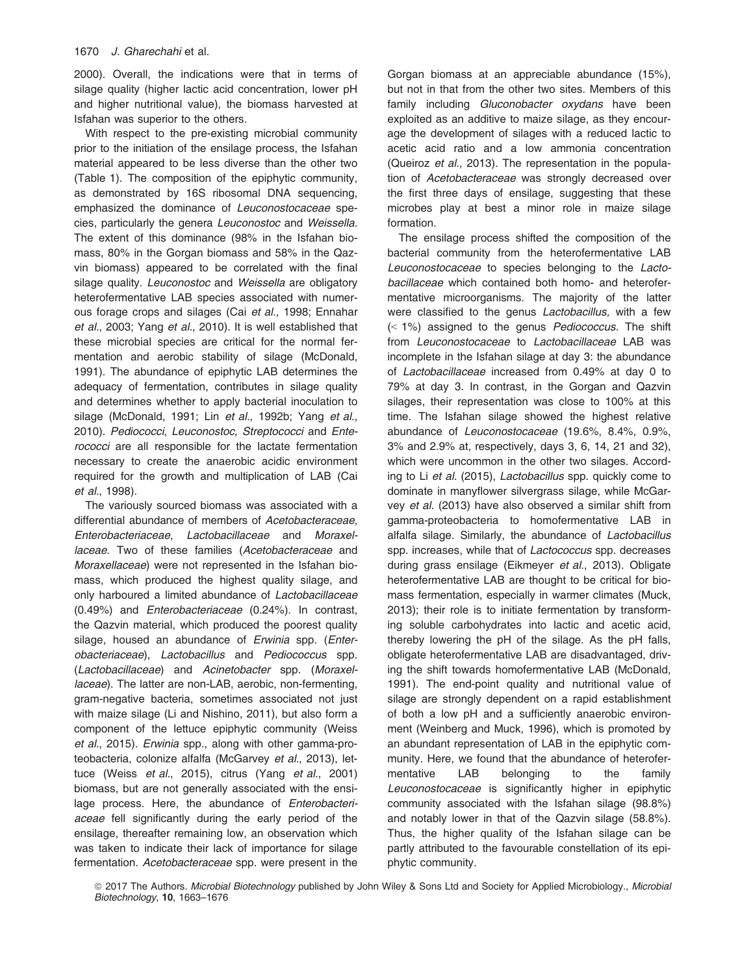2000). Overall, the indications were that in terms of silage quality (higher lactic acid concentration, lower pH and higher nutritional value), the biomass harvested at Isfahan was superior to the others.

With respect to the pre-existing microbial community prior to the initiation of the ensilage process, the Isfahan material appeared to be less diverse than the other two (Table 1). The composition of the epiphytic community, as demonstrated by 16S ribosomal DNA sequencing, emphasized the dominance of Leuconostocaceae species, particularly the genera Leuconostoc and Weissella. The extent of this dominance (98% in the Isfahan biomass, 80% in the Gorgan biomass and 58% in the Qazvin biomass) appeared to be correlated with the final silage quality. Leuconostoc and Weissella are obligatory heterofermentative LAB species associated with numerous forage crops and silages (Cai et al., 1998; Ennahar et al., 2003; Yang et al., 2010). It is well established that these microbial species are critical for the normal fermentation and aerobic stability of silage (McDonald, 1991). The abundance of epiphytic LAB determines the adequacy of fermentation, contributes in silage quality and determines whether to apply bacterial inoculation to silage (McDonald, 1991; Lin et al., 1992b; Yang et al., 2010). Pediococci, Leuconostoc, Streptococci and Enterococci are all responsible for the lactate fermentation necessary to create the anaerobic acidic environment required for the growth and multiplication of LAB (Cai et al., 1998).

The variously sourced biomass was associated with a differential abundance of members of Acetobacteraceae, Enterobacteriaceae, Lactobacillaceae and Moraxellaceae. Two of these families (Acetobacteraceae and Moraxellaceae) were not represented in the Isfahan biomass, which produced the highest quality silage, and only harboured a limited abundance of Lactobacillaceae (0.49%) and Enterobacteriaceae (0.24%). In contrast, the Qazvin material, which produced the poorest quality silage, housed an abundance of Erwinia spp. (Enterobacteriaceae), Lactobacillus and Pediococcus spp. (Lactobacillaceae) and Acinetobacter spp. (Moraxellaceae). The latter are non-LAB, aerobic, non-fermenting, gram-negative bacteria, sometimes associated not just with maize silage (Li and Nishino, 2011), but also form a component of the lettuce epiphytic community (Weiss et al., 2015). Erwinia spp., along with other gamma-proteobacteria, colonize alfalfa (McGarvey et al., 2013), lettuce (Weiss et al., 2015), citrus (Yang et al., 2001) biomass, but are not generally associated with the ensilage process. Here, the abundance of Enterobacteriaceae fell significantly during the early period of the ensilage, thereafter remaining low, an observation which was taken to indicate their lack of importance for silage fermentation. Acetobacteraceae spp. were present in the Gorgan biomass at an appreciable abundance (15%), but not in that from the other two sites. Members of this family including Gluconobacter oxydans have been exploited as an additive to maize silage, as they encourage the development of silages with a reduced lactic to acetic acid ratio and a low ammonia concentration (Queiroz et al., 2013). The representation in the population of Acetobacteraceae was strongly decreased over the first three days of ensilage, suggesting that these microbes play at best a minor role in maize silage formation.

The ensilage process shifted the composition of the bacterial community from the heterofermentative LAB Leuconostocaceae to species belonging to the Lactobacillaceae which contained both homo- and heterofermentative microorganisms. The majority of the latter were classified to the genus Lactobacillus, with a few  $( $1\%$ ) assigned to the genus *Pediococcus*. The shift$ from Leuconostocaceae to Lactobacillaceae LAB was incomplete in the Isfahan silage at day 3: the abundance of Lactobacillaceae increased from 0.49% at day 0 to 79% at day 3. In contrast, in the Gorgan and Qazvin silages, their representation was close to 100% at this time. The Isfahan silage showed the highest relative abundance of Leuconostocaceae (19.6%, 8.4%, 0.9%, 3% and 2.9% at, respectively, days 3, 6, 14, 21 and 32), which were uncommon in the other two silages. According to Li et al. (2015), Lactobacillus spp. quickly come to dominate in manyflower silvergrass silage, while McGarvey et al. (2013) have also observed a similar shift from gamma-proteobacteria to homofermentative LAB in alfalfa silage. Similarly, the abundance of Lactobacillus spp. increases, while that of *Lactococcus* spp. decreases during grass ensilage (Eikmeyer et al., 2013). Obligate heterofermentative LAB are thought to be critical for biomass fermentation, especially in warmer climates (Muck, 2013); their role is to initiate fermentation by transforming soluble carbohydrates into lactic and acetic acid, thereby lowering the pH of the silage. As the pH falls, obligate heterofermentative LAB are disadvantaged, driving the shift towards homofermentative LAB (McDonald, 1991). The end-point quality and nutritional value of silage are strongly dependent on a rapid establishment of both a low pH and a sufficiently anaerobic environment (Weinberg and Muck, 1996), which is promoted by an abundant representation of LAB in the epiphytic community. Here, we found that the abundance of heterofermentative LAB belonging to the family Leuconostocaceae is significantly higher in epiphytic community associated with the Isfahan silage (98.8%) and notably lower in that of the Qazvin silage (58.8%). Thus, the higher quality of the Isfahan silage can be partly attributed to the favourable constellation of its epiphytic community.

<sup>© 2017</sup> The Authors. Microbial Biotechnology published by John Wiley & Sons Ltd and Society for Applied Microbiology., Microbial Biotechnology, 10, 1663–1676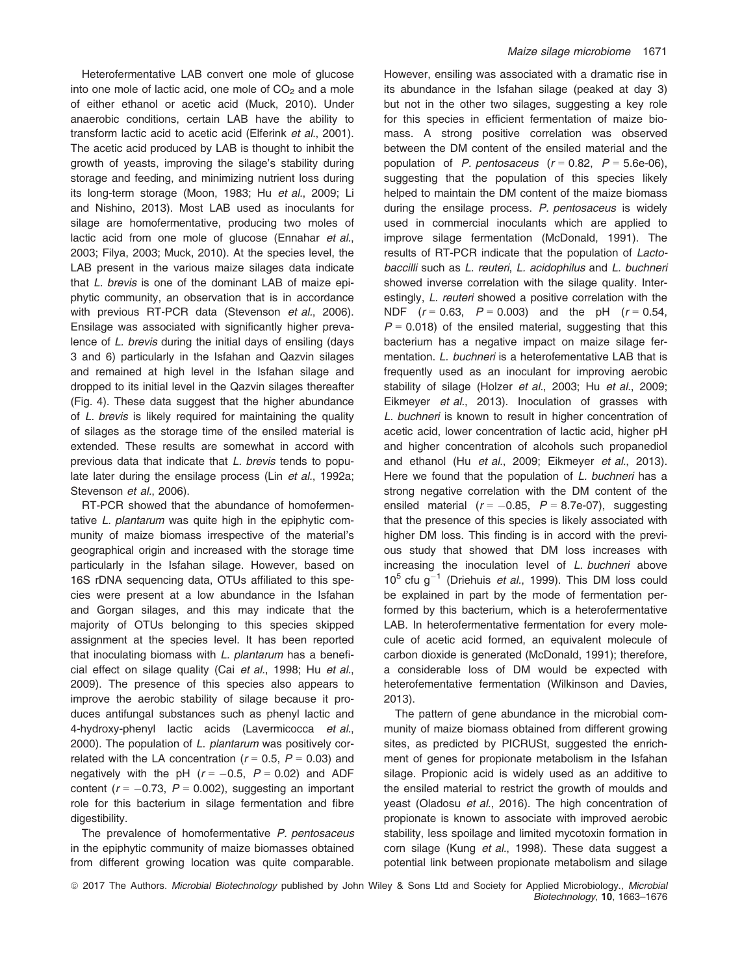Heterofermentative LAB convert one mole of glucose into one mole of lactic acid, one mole of  $CO<sub>2</sub>$  and a mole of either ethanol or acetic acid (Muck, 2010). Under anaerobic conditions, certain LAB have the ability to transform lactic acid to acetic acid (Elferink et al., 2001). The acetic acid produced by LAB is thought to inhibit the growth of yeasts, improving the silage's stability during storage and feeding, and minimizing nutrient loss during its long-term storage (Moon, 1983; Hu et al., 2009; Li and Nishino, 2013). Most LAB used as inoculants for silage are homofermentative, producing two moles of lactic acid from one mole of glucose (Ennahar et al., 2003; Filya, 2003; Muck, 2010). At the species level, the LAB present in the various maize silages data indicate that L. brevis is one of the dominant LAB of maize epiphytic community, an observation that is in accordance with previous RT-PCR data (Stevenson et al., 2006). Ensilage was associated with significantly higher prevalence of L. brevis during the initial days of ensiling (days 3 and 6) particularly in the Isfahan and Qazvin silages and remained at high level in the Isfahan silage and dropped to its initial level in the Qazvin silages thereafter (Fig. 4). These data suggest that the higher abundance of L. brevis is likely required for maintaining the quality of silages as the storage time of the ensiled material is extended. These results are somewhat in accord with previous data that indicate that L. brevis tends to populate later during the ensilage process (Lin et al., 1992a; Stevenson et al., 2006).

RT-PCR showed that the abundance of homofermentative L. plantarum was quite high in the epiphytic community of maize biomass irrespective of the material's geographical origin and increased with the storage time particularly in the Isfahan silage. However, based on 16S rDNA sequencing data, OTUs affiliated to this species were present at a low abundance in the Isfahan and Gorgan silages, and this may indicate that the majority of OTUs belonging to this species skipped assignment at the species level. It has been reported that inoculating biomass with L. plantarum has a beneficial effect on silage quality (Cai et al., 1998; Hu et al., 2009). The presence of this species also appears to improve the aerobic stability of silage because it produces antifungal substances such as phenyl lactic and 4-hydroxy-phenyl lactic acids (Lavermicocca et al., 2000). The population of L. plantarum was positively correlated with the LA concentration ( $r = 0.5$ ,  $P = 0.03$ ) and negatively with the pH  $(r = -0.5, P = 0.02)$  and ADF content ( $r = -0.73$ ,  $P = 0.002$ ), suggesting an important role for this bacterium in silage fermentation and fibre digestibility.

The prevalence of homofermentative P. pentosaceus in the epiphytic community of maize biomasses obtained from different growing location was quite comparable.

However, ensiling was associated with a dramatic rise in its abundance in the Isfahan silage (peaked at day 3) but not in the other two silages, suggesting a key role for this species in efficient fermentation of maize biomass. A strong positive correlation was observed between the DM content of the ensiled material and the population of P. pentosaceus  $(r = 0.82, P = 5.6e-06)$ , suggesting that the population of this species likely helped to maintain the DM content of the maize biomass during the ensilage process. P. pentosaceus is widely used in commercial inoculants which are applied to improve silage fermentation (McDonald, 1991). The results of RT-PCR indicate that the population of Lactobaccilli such as L. reuteri, L. acidophilus and L. buchneri showed inverse correlation with the silage quality. Interestingly, L. reuteri showed a positive correlation with the NDF  $(r = 0.63, P = 0.003)$  and the pH  $(r = 0.54, P = 0.003)$  $P = 0.018$ ) of the ensiled material, suggesting that this bacterium has a negative impact on maize silage fermentation. L. buchneri is a heterofementative LAB that is frequently used as an inoculant for improving aerobic stability of silage (Holzer et al., 2003; Hu et al., 2009; Eikmeyer et al., 2013). Inoculation of grasses with L. buchneri is known to result in higher concentration of acetic acid, lower concentration of lactic acid, higher pH and higher concentration of alcohols such propanediol and ethanol (Hu et al., 2009; Eikmeyer et al., 2013). Here we found that the population of L. buchneri has a strong negative correlation with the DM content of the ensiled material  $(r = -0.85, P = 8.7e-07)$ , suggesting that the presence of this species is likely associated with higher DM loss. This finding is in accord with the previous study that showed that DM loss increases with increasing the inoculation level of L. buchneri above  $10^5$  cfu g<sup>-1</sup> (Driehuis *et al.*, 1999). This DM loss could be explained in part by the mode of fermentation performed by this bacterium, which is a heterofermentative LAB. In heterofermentative fermentation for every molecule of acetic acid formed, an equivalent molecule of carbon dioxide is generated (McDonald, 1991); therefore, a considerable loss of DM would be expected with heterofementative fermentation (Wilkinson and Davies, 2013).

The pattern of gene abundance in the microbial community of maize biomass obtained from different growing sites, as predicted by PICRUSt, suggested the enrichment of genes for propionate metabolism in the Isfahan silage. Propionic acid is widely used as an additive to the ensiled material to restrict the growth of moulds and yeast (Oladosu et al., 2016). The high concentration of propionate is known to associate with improved aerobic stability, less spoilage and limited mycotoxin formation in corn silage (Kung et al., 1998). These data suggest a potential link between propionate metabolism and silage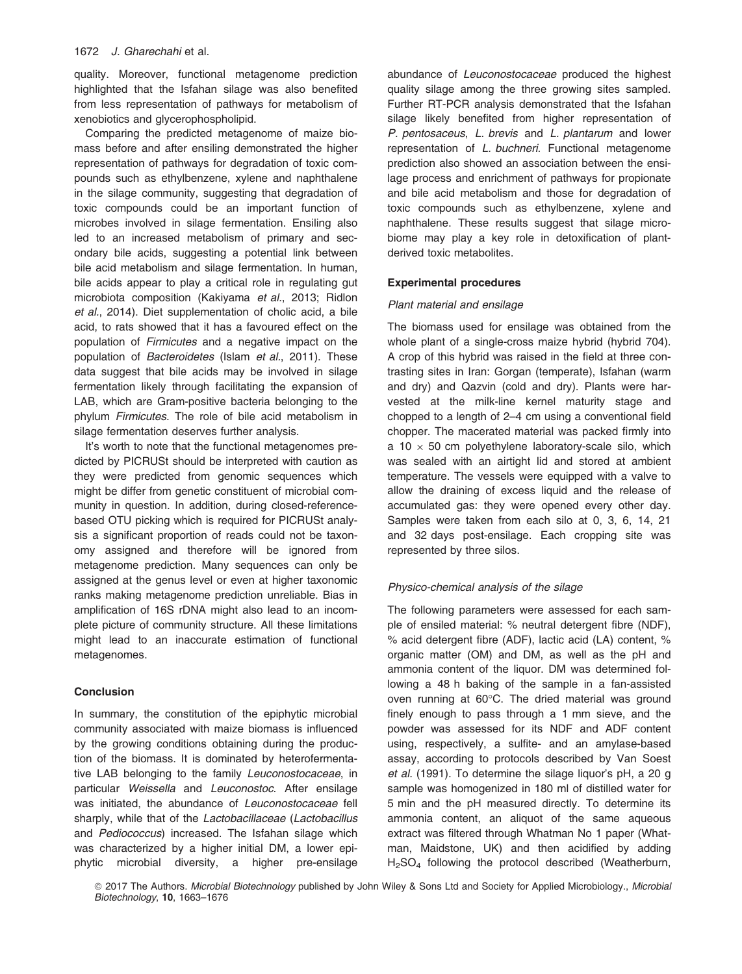quality. Moreover, functional metagenome prediction highlighted that the Isfahan silage was also benefited from less representation of pathways for metabolism of xenobiotics and glycerophospholipid.

Comparing the predicted metagenome of maize biomass before and after ensiling demonstrated the higher representation of pathways for degradation of toxic compounds such as ethylbenzene, xylene and naphthalene in the silage community, suggesting that degradation of toxic compounds could be an important function of microbes involved in silage fermentation. Ensiling also led to an increased metabolism of primary and secondary bile acids, suggesting a potential link between bile acid metabolism and silage fermentation. In human, bile acids appear to play a critical role in regulating gut microbiota composition (Kakiyama et al., 2013; Ridlon et al., 2014). Diet supplementation of cholic acid, a bile acid, to rats showed that it has a favoured effect on the population of Firmicutes and a negative impact on the population of Bacteroidetes (Islam et al., 2011). These data suggest that bile acids may be involved in silage fermentation likely through facilitating the expansion of LAB, which are Gram-positive bacteria belonging to the phylum Firmicutes. The role of bile acid metabolism in silage fermentation deserves further analysis.

It's worth to note that the functional metagenomes predicted by PICRUSt should be interpreted with caution as they were predicted from genomic sequences which might be differ from genetic constituent of microbial community in question. In addition, during closed-referencebased OTU picking which is required for PICRUSt analysis a significant proportion of reads could not be taxonomy assigned and therefore will be ignored from metagenome prediction. Many sequences can only be assigned at the genus level or even at higher taxonomic ranks making metagenome prediction unreliable. Bias in amplification of 16S rDNA might also lead to an incomplete picture of community structure. All these limitations might lead to an inaccurate estimation of functional metagenomes.

## **Conclusion**

In summary, the constitution of the epiphytic microbial community associated with maize biomass is influenced by the growing conditions obtaining during the production of the biomass. It is dominated by heterofermentative LAB belonging to the family Leuconostocaceae, in particular Weissella and Leuconostoc. After ensilage was initiated, the abundance of Leuconostocaceae fell sharply, while that of the Lactobacillaceae (Lactobacillus and Pediococcus) increased. The Isfahan silage which was characterized by a higher initial DM, a lower epiphytic microbial diversity, a higher pre-ensilage

abundance of Leuconostocaceae produced the highest quality silage among the three growing sites sampled. Further RT-PCR analysis demonstrated that the Isfahan silage likely benefited from higher representation of P. pentosaceus, L. brevis and L. plantarum and lower representation of L. buchneri. Functional metagenome prediction also showed an association between the ensilage process and enrichment of pathways for propionate and bile acid metabolism and those for degradation of toxic compounds such as ethylbenzene, xylene and naphthalene. These results suggest that silage microbiome may play a key role in detoxification of plantderived toxic metabolites.

# Experimental procedures

## Plant material and ensilage

The biomass used for ensilage was obtained from the whole plant of a single-cross maize hybrid (hybrid 704). A crop of this hybrid was raised in the field at three contrasting sites in Iran: Gorgan (temperate), Isfahan (warm and dry) and Qazvin (cold and dry). Plants were harvested at the milk-line kernel maturity stage and chopped to a length of 2–4 cm using a conventional field chopper. The macerated material was packed firmly into a 10  $\times$  50 cm polyethylene laboratory-scale silo, which was sealed with an airtight lid and stored at ambient temperature. The vessels were equipped with a valve to allow the draining of excess liquid and the release of accumulated gas: they were opened every other day. Samples were taken from each silo at 0, 3, 6, 14, 21 and 32 days post-ensilage. Each cropping site was represented by three silos.

## Physico-chemical analysis of the silage

The following parameters were assessed for each sample of ensiled material: % neutral detergent fibre (NDF), % acid detergent fibre (ADF), lactic acid (LA) content, % organic matter (OM) and DM, as well as the pH and ammonia content of the liquor. DM was determined following a 48 h baking of the sample in a fan-assisted oven running at 60°C. The dried material was ground finely enough to pass through a 1 mm sieve, and the powder was assessed for its NDF and ADF content using, respectively, a sulfite- and an amylase-based assay, according to protocols described by Van Soest et al. (1991). To determine the silage liquor's pH, a 20 g sample was homogenized in 180 ml of distilled water for 5 min and the pH measured directly. To determine its ammonia content, an aliquot of the same aqueous extract was filtered through Whatman No 1 paper (Whatman, Maidstone, UK) and then acidified by adding  $H<sub>2</sub>SO<sub>4</sub>$  following the protocol described (Weatherburn,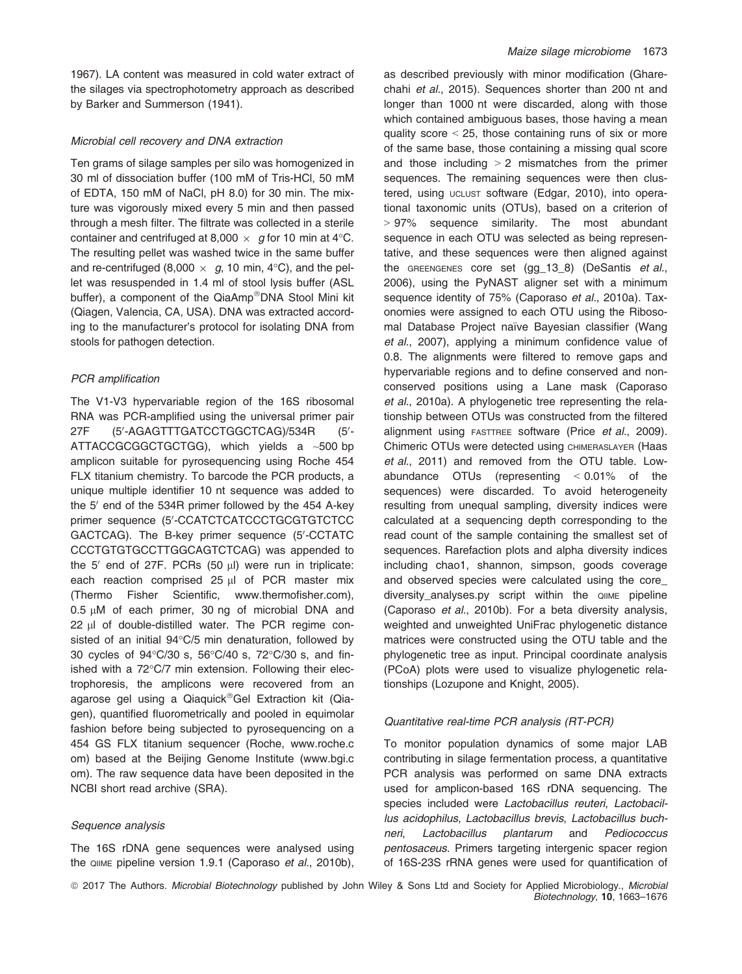1967). LA content was measured in cold water extract of the silages via spectrophotometry approach as described by Barker and Summerson (1941).

## Microbial cell recovery and DNA extraction

Ten grams of silage samples per silo was homogenized in 30 ml of dissociation buffer (100 mM of Tris-HCl, 50 mM of EDTA, 150 mM of NaCl, pH 8.0) for 30 min. The mixture was vigorously mixed every 5 min and then passed through a mesh filter. The filtrate was collected in a sterile container and centrifuged at 8,000  $\times$  g for 10 min at 4°C. The resulting pellet was washed twice in the same buffer and re-centrifuged (8,000  $\times$  g, 10 min, 4°C), and the pellet was resuspended in 1.4 ml of stool lysis buffer (ASL buffer), a component of the QiaAmp®DNA Stool Mini kit (Qiagen, Valencia, CA, USA). DNA was extracted according to the manufacturer's protocol for isolating DNA from stools for pathogen detection.

## PCR amplification

The V1-V3 hypervariable region of the 16S ribosomal RNA was PCR-amplified using the universal primer pair 27F (5'-AGAGTTTGATCCTGGCTCAG)/534R  $(5' -$ ATTACCGCGGCTGCTGG), which yields a ~500 bp amplicon suitable for pyrosequencing using Roche 454 FLX titanium chemistry. To barcode the PCR products, a unique multiple identifier 10 nt sequence was added to the 5' end of the 534R primer followed by the 454 A-key primer sequence (5'-CCATCTCATCCCTGCGTGTCTCC GACTCAG). The B-key primer sequence (5'-CCTATC CCCTGTGTGCCTTGGCAGTCTCAG) was appended to the 5' end of 27F. PCRs (50  $\mu$ I) were run in triplicate: each reaction comprised  $25 \mu l$  of PCR master mix (Thermo Fisher Scientific, [www.thermofisher.com\)](http://www.thermofisher.com),  $0.5 \mu M$  of each primer, 30 ng of microbial DNA and 22 µl of double-distilled water. The PCR regime consisted of an initial 94°C/5 min denaturation, followed by 30 cycles of 94°C/30 s, 56°C/40 s, 72°C/30 s, and finished with a 72°C/7 min extension. Following their electrophoresis, the amplicons were recovered from an agarose gel using a Qiaquick®Gel Extraction kit (Qiagen), quantified fluorometrically and pooled in equimolar fashion before being subjected to pyrosequencing on a 454 GS FLX titanium sequencer (Roche, [www.roche.c](http://www.roche.com) [om](http://www.roche.com)) based at the Beijing Genome Institute ([www.bgi.c](http://www.bgi.com) [om](http://www.bgi.com)). The raw sequence data have been deposited in the NCBI short read archive (SRA).

## Sequence analysis

The 16S rDNA gene sequences were analysed using the QIIME pipeline version 1.9.1 (Caporaso et al., 2010b), as described previously with minor modification (Gharechahi et al., 2015). Sequences shorter than 200 nt and longer than 1000 nt were discarded, along with those which contained ambiguous bases, those having a mean quality score < 25, those containing runs of six or more of the same base, those containing a missing qual score and those including  $> 2$  mismatches from the primer sequences. The remaining sequences were then clustered, using UCLUST software (Edgar, 2010), into operational taxonomic units (OTUs), based on a criterion of > 97% sequence similarity. The most abundant sequence in each OTU was selected as being representative, and these sequences were then aligned against the GREENGENES core set (gg\_13\_8) (DeSantis et al., 2006), using the PyNAST aligner set with a minimum sequence identity of 75% (Caporaso et al., 2010a). Taxonomies were assigned to each OTU using the Ribosomal Database Project naïve Bayesian classifier (Wang et al., 2007), applying a minimum confidence value of 0.8. The alignments were filtered to remove gaps and hypervariable regions and to define conserved and nonconserved positions using a Lane mask (Caporaso et al., 2010a). A phylogenetic tree representing the relationship between OTUs was constructed from the filtered alignment using FASTTREE software (Price et al., 2009). Chimeric OTUs were detected using CHIMERASLAYER (Haas et al., 2011) and removed from the OTU table. Lowabundance OTUs (representing < 0.01% of the sequences) were discarded. To avoid heterogeneity resulting from unequal sampling, diversity indices were calculated at a sequencing depth corresponding to the read count of the sample containing the smallest set of sequences. Rarefaction plots and alpha diversity indices including chao1, shannon, simpson, goods coverage and observed species were calculated using the core\_ diversity\_analyses.py script within the QIIME pipeline (Caporaso et al., 2010b). For a beta diversity analysis, weighted and unweighted UniFrac phylogenetic distance matrices were constructed using the OTU table and the phylogenetic tree as input. Principal coordinate analysis (PCoA) plots were used to visualize phylogenetic relationships (Lozupone and Knight, 2005).

## Quantitative real-time PCR analysis (RT-PCR)

To monitor population dynamics of some major LAB contributing in silage fermentation process, a quantitative PCR analysis was performed on same DNA extracts used for amplicon-based 16S rDNA sequencing. The species included were Lactobacillus reuteri, Lactobacillus acidophilus, Lactobacillus brevis, Lactobacillus buchneri, Lactobacillus plantarum and Pediococcus pentosaceus. Primers targeting intergenic spacer region of 16S-23S rRNA genes were used for quantification of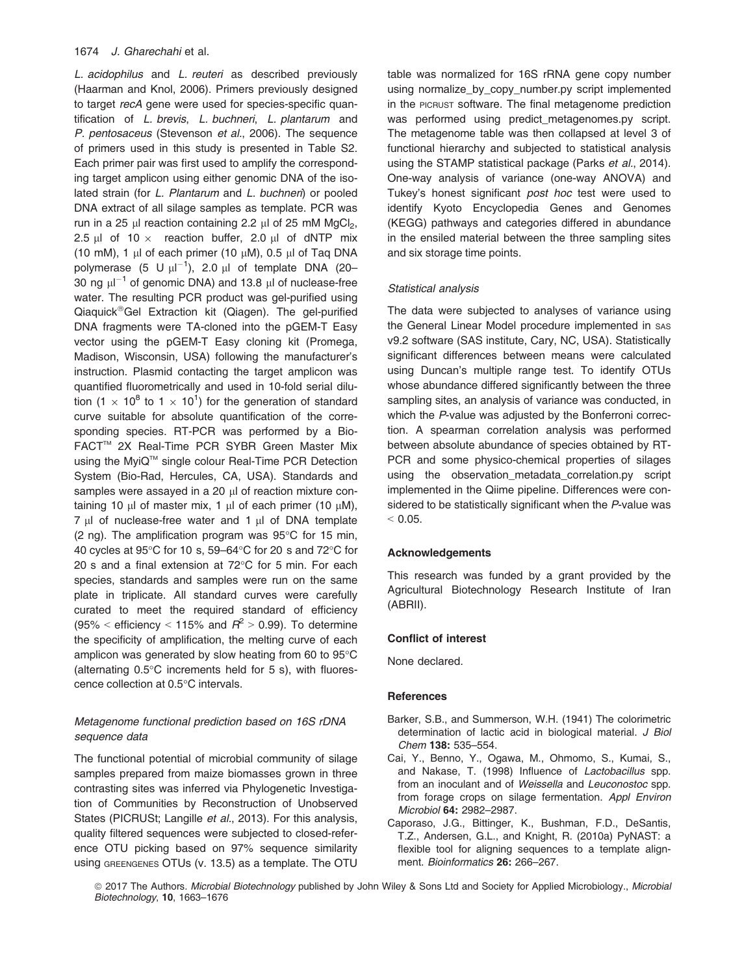#### 1674 J. Gharechahi et al.

L. acidophilus and L. reuteri as described previously (Haarman and Knol, 2006). Primers previously designed to target recA gene were used for species-specific quantification of L. brevis, L. buchneri, L. plantarum and P. pentosaceus (Stevenson et al., 2006). The sequence of primers used in this study is presented in Table S2. Each primer pair was first used to amplify the corresponding target amplicon using either genomic DNA of the isolated strain (for L. Plantarum and L. buchneri) or pooled DNA extract of all silage samples as template. PCR was run in a 25 µl reaction containing 2.2 µl of 25 mM MgCl<sub>2</sub>, 2.5  $\mu$ l of 10  $\times$  reaction buffer, 2.0  $\mu$ l of dNTP mix (10 mM), 1  $\mu$  of each primer (10  $\mu$ M), 0.5  $\mu$  of Tag DNA polymerase (5 U  $\mu$ I<sup>-1</sup>), 2.0  $\mu$ I of template DNA (20-30 ng  $\mu$ l<sup>-1</sup> of genomic DNA) and 13.8  $\mu$ l of nuclease-free water. The resulting PCR product was gel-purified using Qiaquick<sup>®</sup>Gel Extraction kit (Qiagen). The gel-purified DNA fragments were TA-cloned into the pGEM-T Easy vector using the pGEM-T Easy cloning kit (Promega, Madison, Wisconsin, USA) following the manufacturer's instruction. Plasmid contacting the target amplicon was quantified fluorometrically and used in 10-fold serial dilution (1  $\times$  10<sup>8</sup> to 1  $\times$  10<sup>1</sup>) for the generation of standard curve suitable for absolute quantification of the corresponding species. RT-PCR was performed by a Bio-FACT™ 2X Real-Time PCR SYBR Green Master Mix using the MyiQ™ single colour Real-Time PCR Detection System (Bio-Rad, Hercules, CA, USA). Standards and samples were assayed in a 20 µl of reaction mixture containing 10  $\mu$ l of master mix, 1  $\mu$ l of each primer (10  $\mu$ M),  $7 \mu$ I of nuclease-free water and  $1 \mu$ I of DNA template (2 ng). The amplification program was 95°C for 15 min, 40 cycles at 95°C for 10 s, 59–64°C for 20 s and 72°C for 20 s and a final extension at 72°C for 5 min. For each species, standards and samples were run on the same plate in triplicate. All standard curves were carefully curated to meet the required standard of efficiency (95%  $\leq$  efficiency  $\leq$  115% and  $R^2$   $>$  0.99). To determine the specificity of amplification, the melting curve of each amplicon was generated by slow heating from 60 to 95°C (alternating 0.5°C increments held for 5 s), with fluorescence collection at 0.5°C intervals.

# Metagenome functional prediction based on 16S rDNA sequence data

The functional potential of microbial community of silage samples prepared from maize biomasses grown in three contrasting sites was inferred via Phylogenetic Investigation of Communities by Reconstruction of Unobserved States (PICRUSt; Langille et al., 2013). For this analysis, quality filtered sequences were subjected to closed-reference OTU picking based on 97% sequence similarity using GREENGENES OTUs (v. 13.5) as a template. The OTU table was normalized for 16S rRNA gene copy number using normalize\_by\_copy\_number.py script implemented in the PICRUST software. The final metagenome prediction was performed using predict\_metagenomes.py script. The metagenome table was then collapsed at level 3 of functional hierarchy and subjected to statistical analysis using the STAMP statistical package (Parks et al., 2014). One-way analysis of variance (one-way ANOVA) and Tukey's honest significant post hoc test were used to identify Kyoto Encyclopedia Genes and Genomes (KEGG) pathways and categories differed in abundance in the ensiled material between the three sampling sites and six storage time points.

#### Statistical analysis

The data were subjected to analyses of variance using the General Linear Model procedure implemented in SAS v9.2 software (SAS institute, Cary, NC, USA). Statistically significant differences between means were calculated using Duncan's multiple range test. To identify OTUs whose abundance differed significantly between the three sampling sites, an analysis of variance was conducted, in which the P-value was adjusted by the Bonferroni correction. A spearman correlation analysis was performed between absolute abundance of species obtained by RT-PCR and some physico-chemical properties of silages using the observation\_metadata\_correlation.py script implemented in the Qiime pipeline. Differences were considered to be statistically significant when the P-value was  $< 0.05.$ 

#### Acknowledgements

This research was funded by a grant provided by the Agricultural Biotechnology Research Institute of Iran (ABRII).

#### Conflict of interest

None declared.

#### **References**

- Barker, S.B., and Summerson, W.H. (1941) The colorimetric determination of lactic acid in biological material. J Biol Chem 138: 535–554.
- Cai, Y., Benno, Y., Ogawa, M., Ohmomo, S., Kumai, S., and Nakase, T. (1998) Influence of Lactobacillus spp. from an inoculant and of Weissella and Leuconostoc spp. from forage crops on silage fermentation. Appl Environ Microbiol 64: 2982–2987.
- Caporaso, J.G., Bittinger, K., Bushman, F.D., DeSantis, T.Z., Andersen, G.L., and Knight, R. (2010a) PyNAST: a flexible tool for aligning sequences to a template alignment. Bioinformatics 26: 266-267.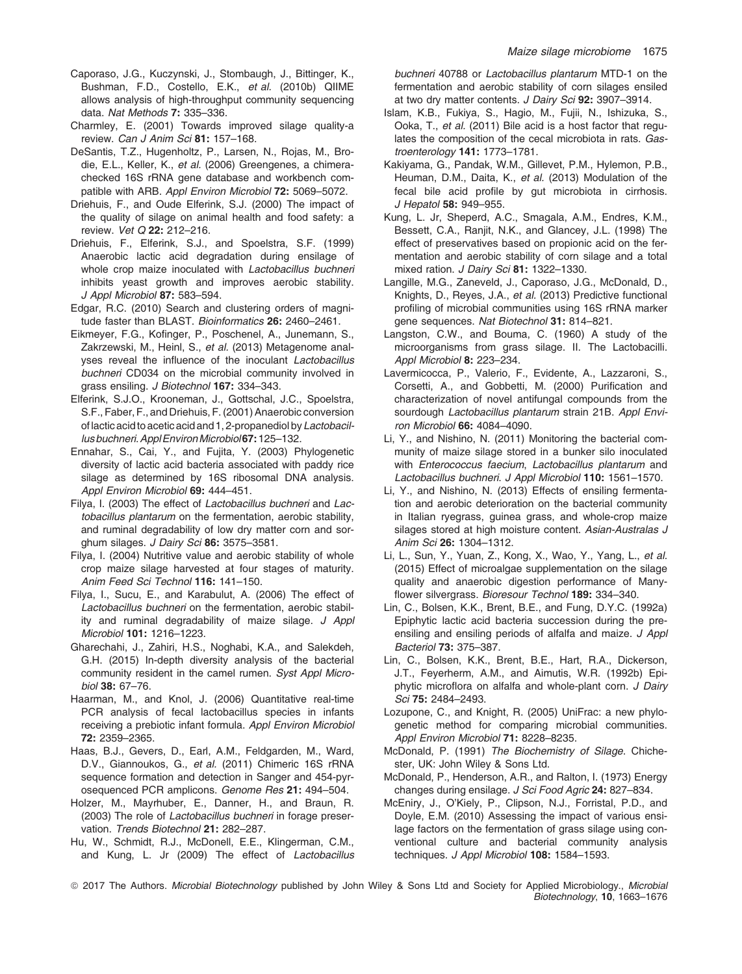- Caporaso, J.G., Kuczynski, J., Stombaugh, J., Bittinger, K., Bushman, F.D., Costello, E.K., et al. (2010b) QIIME allows analysis of high-throughput community sequencing data. Nat Methods 7: 335–336.
- Charmley, E. (2001) Towards improved silage quality-a review. Can J Anim Sci 81: 157–168.
- DeSantis, T.Z., Hugenholtz, P., Larsen, N., Rojas, M., Brodie, E.L., Keller, K., et al. (2006) Greengenes, a chimerachecked 16S rRNA gene database and workbench compatible with ARB. Appl Environ Microbiol 72: 5069–5072.
- Driehuis, F., and Oude Elferink, S.J. (2000) The impact of the quality of silage on animal health and food safety: a review. Vet Q 22: 212–216.
- Driehuis, F., Elferink, S.J., and Spoelstra, S.F. (1999) Anaerobic lactic acid degradation during ensilage of whole crop maize inoculated with Lactobacillus buchneri inhibits yeast growth and improves aerobic stability. J Appl Microbiol 87: 583-594.
- Edgar, R.C. (2010) Search and clustering orders of magnitude faster than BLAST. Bioinformatics 26: 2460–2461.
- Eikmeyer, F.G., Kofinger, P., Poschenel, A., Junemann, S., Zakrzewski, M., Heinl, S., et al. (2013) Metagenome analyses reveal the influence of the inoculant Lactobacillus buchneri CD034 on the microbial community involved in grass ensiling. J Biotechnol 167: 334-343.
- Elferink, S.J.O., Krooneman, J., Gottschal, J.C., Spoelstra, S.F., Faber, F., and Driehuis, F. (2001) Anaerobic conversion of lactic acid to acetic acid and 1, 2-propanediol by Lactobacillus buchneri.ApplEnvironMicrobiol67:125–132.
- Ennahar, S., Cai, Y., and Fujita, Y. (2003) Phylogenetic diversity of lactic acid bacteria associated with paddy rice silage as determined by 16S ribosomal DNA analysis. Appl Environ Microbiol 69: 444-451.
- Filya, I. (2003) The effect of Lactobacillus buchneri and Lactobacillus plantarum on the fermentation, aerobic stability, and ruminal degradability of low dry matter corn and sorghum silages. J Dairy Sci 86: 3575-3581.
- Filya, I. (2004) Nutritive value and aerobic stability of whole crop maize silage harvested at four stages of maturity. Anim Feed Sci Technol 116: 141–150.
- Filya, I., Sucu, E., and Karabulut, A. (2006) The effect of Lactobacillus buchneri on the fermentation, aerobic stability and ruminal degradability of maize silage. J Appl Microbiol 101: 1216–1223.
- Gharechahi, J., Zahiri, H.S., Noghabi, K.A., and Salekdeh, G.H. (2015) In-depth diversity analysis of the bacterial community resident in the camel rumen. Syst Appl Microbiol 38: 67–76.
- Haarman, M., and Knol, J. (2006) Quantitative real-time PCR analysis of fecal lactobacillus species in infants receiving a prebiotic infant formula. Appl Environ Microbiol 72: 2359–2365.
- Haas, B.J., Gevers, D., Earl, A.M., Feldgarden, M., Ward, D.V., Giannoukos, G., et al. (2011) Chimeric 16S rRNA sequence formation and detection in Sanger and 454-pyrosequenced PCR amplicons. Genome Res 21: 494–504.
- Holzer, M., Mayrhuber, E., Danner, H., and Braun, R. (2003) The role of Lactobacillus buchneri in forage preservation. Trends Biotechnol 21: 282–287.
- Hu, W., Schmidt, R.J., McDonell, E.E., Klingerman, C.M., and Kung, L. Jr (2009) The effect of Lactobacillus

buchneri 40788 or Lactobacillus plantarum MTD-1 on the fermentation and aerobic stability of corn silages ensiled at two dry matter contents. J Dairy Sci 92: 3907-3914.

- Islam, K.B., Fukiya, S., Hagio, M., Fujii, N., Ishizuka, S., Ooka, T., et al. (2011) Bile acid is a host factor that regulates the composition of the cecal microbiota in rats. Gastroenterology 141: 1773–1781.
- Kakiyama, G., Pandak, W.M., Gillevet, P.M., Hylemon, P.B., Heuman, D.M., Daita, K., et al. (2013) Modulation of the fecal bile acid profile by gut microbiota in cirrhosis. J Hepatol 58: 949–955.
- Kung, L. Jr, Sheperd, A.C., Smagala, A.M., Endres, K.M., Bessett, C.A., Ranjit, N.K., and Glancey, J.L. (1998) The effect of preservatives based on propionic acid on the fermentation and aerobic stability of corn silage and a total mixed ration. J Dairy Sci 81: 1322-1330.
- Langille, M.G., Zaneveld, J., Caporaso, J.G., McDonald, D., Knights, D., Reyes, J.A., et al. (2013) Predictive functional profiling of microbial communities using 16S rRNA marker gene sequences. Nat Biotechnol 31: 814–821.
- Langston, C.W., and Bouma, C. (1960) A study of the microorganisms from grass silage. II. The Lactobacilli. Appl Microbiol 8: 223–234.
- Lavermicocca, P., Valerio, F., Evidente, A., Lazzaroni, S., Corsetti, A., and Gobbetti, M. (2000) Purification and characterization of novel antifungal compounds from the sourdough Lactobacillus plantarum strain 21B. Appl Environ Microbiol 66: 4084–4090.
- Li, Y., and Nishino, N. (2011) Monitoring the bacterial community of maize silage stored in a bunker silo inoculated with Enterococcus faecium, Lactobacillus plantarum and Lactobacillus buchneri. J Appl Microbiol 110: 1561–1570.
- Li, Y., and Nishino, N. (2013) Effects of ensiling fermentation and aerobic deterioration on the bacterial community in Italian ryegrass, guinea grass, and whole-crop maize silages stored at high moisture content. Asian-Australas J Anim Sci 26: 1304–1312.
- Li, L., Sun, Y., Yuan, Z., Kong, X., Wao, Y., Yang, L., et al. (2015) Effect of microalgae supplementation on the silage quality and anaerobic digestion performance of Manyflower silvergrass. Bioresour Technol 189: 334–340.
- Lin, C., Bolsen, K.K., Brent, B.E., and Fung, D.Y.C. (1992a) Epiphytic lactic acid bacteria succession during the preensiling and ensiling periods of alfalfa and maize. J Appl Bacteriol 73: 375–387.
- Lin, C., Bolsen, K.K., Brent, B.E., Hart, R.A., Dickerson, J.T., Feyerherm, A.M., and Aimutis, W.R. (1992b) Epiphytic microflora on alfalfa and whole-plant corn. J Dairy Sci 75: 2484–2493.
- Lozupone, C., and Knight, R. (2005) UniFrac: a new phylogenetic method for comparing microbial communities. Appl Environ Microbiol 71: 8228–8235.
- McDonald, P. (1991) The Biochemistry of Silage. Chichester, UK: John Wiley & Sons Ltd.
- McDonald, P., Henderson, A.R., and Ralton, I. (1973) Energy changes during ensilage. J Sci Food Agric 24: 827–834.
- McEniry, J., O'Kiely, P., Clipson, N.J., Forristal, P.D., and Doyle, E.M. (2010) Assessing the impact of various ensilage factors on the fermentation of grass silage using conventional culture and bacterial community analysis techniques. J Appl Microbiol 108: 1584-1593.

<sup>© 2017</sup> The Authors. Microbial Biotechnology published by John Wiley & Sons Ltd and Society for Applied Microbiology., Microbial Biotechnology, 10, 1663–1676